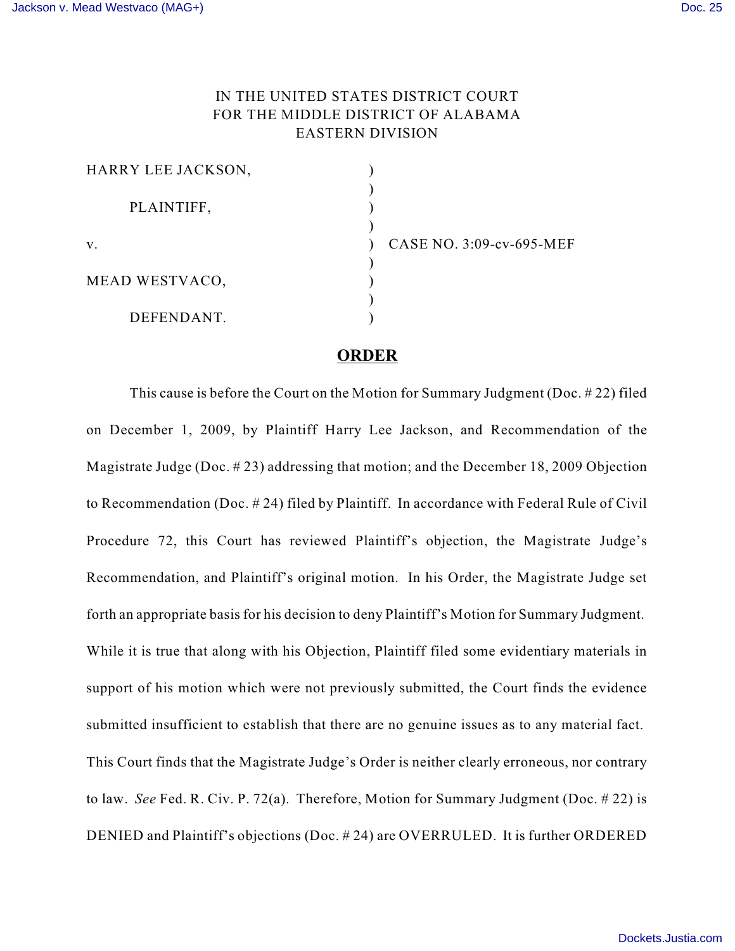## IN THE UNITED STATES DISTRICT COURT FOR THE MIDDLE DISTRICT OF ALABAMA EASTERN DIVISION

| HARRY LEE JACKSON, |  |
|--------------------|--|
|                    |  |
| PLAINTIFF,         |  |
|                    |  |
| v.                 |  |
|                    |  |
| MEAD WESTVACO,     |  |
|                    |  |
| DEFENDANT.         |  |

ASE NO. 3:09-cv-695-MEF

## **ORDER**

This cause is before the Court on the Motion for Summary Judgment (Doc. # 22) filed on December 1, 2009, by Plaintiff Harry Lee Jackson, and Recommendation of the Magistrate Judge (Doc. # 23) addressing that motion; and the December 18, 2009 Objection to Recommendation (Doc. # 24) filed by Plaintiff. In accordance with Federal Rule of Civil Procedure 72, this Court has reviewed Plaintiff's objection, the Magistrate Judge's Recommendation, and Plaintiff's original motion. In his Order, the Magistrate Judge set forth an appropriate basis for his decision to deny Plaintiff's Motion for Summary Judgment. While it is true that along with his Objection, Plaintiff filed some evidentiary materials in support of his motion which were not previously submitted, the Court finds the evidence submitted insufficient to establish that there are no genuine issues as to any material fact. This Court finds that the Magistrate Judge's Order is neither clearly erroneous, nor contrary to law. *See* Fed. R. Civ. P. 72(a). Therefore, Motion for Summary Judgment (Doc. # 22) is DENIED and Plaintiff's objections (Doc. # 24) are OVERRULED. It is further ORDERED